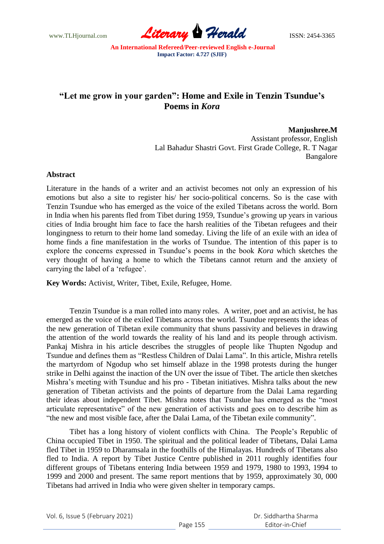www.TLHjournal.com **Literary Herald Herald** ISSN: 2454-3365

## **"Let me grow in your garden": Home and Exile in Tenzin Tsundue's Poems in** *Kora*

**Manjushree.M** Assistant professor, English Lal Bahadur Shastri Govt. First Grade College, R. T Nagar Bangalore

## **Abstract**

Literature in the hands of a writer and an activist becomes not only an expression of his emotions but also a site to register his/ her socio-political concerns. So is the case with Tenzin Tsundue who has emerged as the voice of the exiled Tibetans across the world. Born in India when his parents fled from Tibet during 1959, Tsundue's growing up years in various cities of India brought him face to face the harsh realities of the Tibetan refugees and their longingness to return to their home land someday. Living the life of an exile with an idea of home finds a fine manifestation in the works of Tsundue. The intention of this paper is to explore the concerns expressed in Tsundue"s poems in the book *Kora* which sketches the very thought of having a home to which the Tibetans cannot return and the anxiety of carrying the label of a 'refugee'.

**Key Words:** Activist, Writer, Tibet, Exile, Refugee, Home.

Tenzin Tsundue is a man rolled into many roles. A writer, poet and an activist, he has emerged as the voice of the exiled Tibetans across the world. Tsundue represents the ideas of the new generation of Tibetan exile community that shuns passivity and believes in drawing the attention of the world towards the reality of his land and its people through activism. Pankaj Mishra in his article describes the struggles of people like Thupten Ngodup and Tsundue and defines them as "Restless Children of Dalai Lama". In this article, Mishra retells the martyrdom of Ngodup who set himself ablaze in the 1998 protests during the hunger strike in Delhi against the inaction of the UN over the issue of Tibet. The article then sketches Mishra"s meeting with Tsundue and his pro - Tibetan initiatives. Mishra talks about the new generation of Tibetan activists and the points of departure from the Dalai Lama regarding their ideas about independent Tibet. Mishra notes that Tsundue has emerged as the "most articulate representative" of the new generation of activists and goes on to describe him as "the new and most visible face, after the Dalai Lama, of the Tibetan exile community".

Tibet has a long history of violent conflicts with China. The People"s Republic of China occupied Tibet in 1950. The spiritual and the political leader of Tibetans, Dalai Lama fled Tibet in 1959 to Dharamsala in the foothills of the Himalayas. Hundreds of Tibetans also fled to India. A report by Tibet Justice Centre published in 2011 roughly identifies four different groups of Tibetans entering India between 1959 and 1979, 1980 to 1993, 1994 to 1999 and 2000 and present. The same report mentions that by 1959, approximately 30, 000 Tibetans had arrived in India who were given shelter in temporary camps.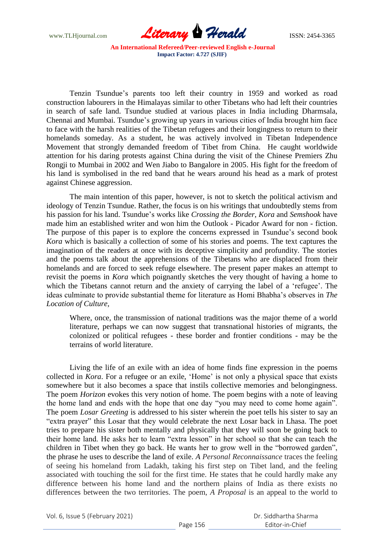

Tenzin Tsundue"s parents too left their country in 1959 and worked as road construction labourers in the Himalayas similar to other Tibetans who had left their countries in search of safe land. Tsundue studied at various places in India including Dharmsala, Chennai and Mumbai. Tsundue"s growing up years in various cities of India brought him face to face with the harsh realities of the Tibetan refugees and their longingness to return to their homelands someday. As a student, he was actively involved in Tibetan Independence Movement that strongly demanded freedom of Tibet from China. He caught worldwide attention for his daring protests against China during the visit of the Chinese Premiers Zhu Rongji to Mumbai in 2002 and Wen Jiabo to Bangalore in 2005. His fight for the freedom of his land is symbolised in the red band that he wears around his head as a mark of protest against Chinese aggression.

The main intention of this paper, however, is not to sketch the political activism and ideology of Tenzin Tsundue. Rather, the focus is on his writings that undoubtedly stems from his passion for his land. Tsundue"s works like *Crossing the Border*, *Kora* and *Semshook* have made him an established writer and won him the Outlook - Picador Award for non - fiction. The purpose of this paper is to explore the concerns expressed in Tsundue"s second book *Kora* which is basically a collection of some of his stories and poems. The text captures the imagination of the readers at once with its deceptive simplicity and profundity. The stories and the poems talk about the apprehensions of the Tibetans who are displaced from their homelands and are forced to seek refuge elsewhere. The present paper makes an attempt to revisit the poems in *Kora* which poignantly sketches the very thought of having a home to which the Tibetans cannot return and the anxiety of carrying the label of a "refugee". The ideas culminate to provide substantial theme for literature as Homi Bhabha"s observes in *The Location of Culture,* 

Where, once, the transmission of national traditions was the major theme of a world literature, perhaps we can now suggest that transnational histories of migrants, the colonized or political refugees - these border and frontier conditions - may be the terrains of world literature.

Living the life of an exile with an idea of home finds fine expression in the poems collected in *Kora*. For a refugee or an exile, 'Home' is not only a physical space that exists somewhere but it also becomes a space that instils collective memories and belongingness. The poem *Horizon* evokes this very notion of home. The poem begins with a note of leaving the home land and ends with the hope that one day "you may need to come home again". The poem *Losar Greeting* is addressed to his sister wherein the poet tells his sister to say an "extra prayer" this Losar that they would celebrate the next Losar back in Lhasa. The poet tries to prepare his sister both mentally and physically that they will soon be going back to their home land. He asks her to learn "extra lesson" in her school so that she can teach the children in Tibet when they go back. He wants her to grow well in the "borrowed garden", the phrase he uses to describe the land of exile. *A Personal Reconnaissance* traces the feeling of seeing his homeland from Ladakh, taking his first step on Tibet land, and the feeling associated with touching the soil for the first time. He states that he could hardly make any difference between his home land and the northern plains of India as there exists no differences between the two territories. The poem, *A Proposal* is an appeal to the world to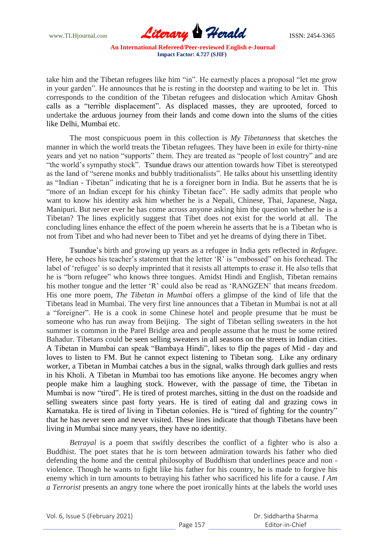www.TLHjournal.com **Literary Herald Herald ISSN: 2454-3365** 

take him and the Tibetan refugees like him "in". He earnestly places a proposal "let me grow in your garden". He announces that he is resting in the doorstep and waiting to be let in. This corresponds to the condition of the Tibetan refugees and dislocation which Amitav Ghosh calls as a "terrible displacement". As displaced masses, they are uprooted, forced to undertake the arduous journey from their lands and come down into the slums of the cities like Delhi, Mumbai etc.

The most conspicuous poem in this collection is *My Tibetanness* that sketches the manner in which the world treats the Tibetan refugees. They have been in exile for thirty-nine years and yet no nation "supports" them. They are treated as "people of lost country" and are "the world"s sympathy stock". Tsundue draws our attention towards how Tibet is stereotyped as the land of "serene monks and bubbly traditionalists". He talks about his unsettling identity as "Indian - Tibetan" indicating that he is a foreigner born in India. But he asserts that he is "more of an Indian except for his chinky Tibetan face". He sadly admits that people who want to know his identity ask him whether he is a Nepali, Chinese, Thai, Japanese, Naga, Manipuri. But never ever he has come across anyone asking him the question whether he is a Tibetan? The lines explicitly suggest that Tibet does not exist for the world at all. The concluding lines enhance the effect of the poem wherein he asserts that he is a Tibetan who is not from Tibet and who had never been to Tibet and yet he dreams of dying there in Tibet.

Tsundue"s birth and growing up years as a refugee in India gets reflected in *Refugee.*  Here, he echoes his teacher's statement that the letter 'R' is "embossed" on his forehead. The label of 'refugee' is so deeply imprinted that it resists all attempts to erase it. He also tells that he is "born refugee" who knows three tongues. Amidst Hindi and English, Tibetan remains his mother tongue and the letter 'R' could also be read as 'RANGZEN' that means freedom. His one more poem, *The Tibetan in Mumbai* offers a glimpse of the kind of life that the Tibetans lead in Mumbai. The very first line announces that a Tibetan in Mumbai is not at all a "foreigner". He is a cook in some Chinese hotel and people presume that he must be someone who has run away from Beijing. The sight of Tibetan selling sweaters in the hot summer is common in the Parel Bridge area and people assume that he must be some retired Bahadur. Tibetans could be seen selling sweaters in all seasons on the streets in Indian cities. A Tibetan in Mumbai can speak "Bambaya Hindi", likes to flip the pages of Mid - day and loves to listen to FM. But he cannot expect listening to Tibetan song. Like any ordinary worker, a Tibetan in Mumbai catches a bus in the signal, walks through dark gullies and rests in his Kholi. A Tibetan in Mumbai too has emotions like anyone. He becomes angry when people make him a laughing stock. However, with the passage of time, the Tibetan in Mumbai is now "tired". He is tired of protest marches, sitting in the dust on the roadside and selling sweaters since past forty years. He is tired of eating dal and grazing cows in Karnataka. He is tired of living in Tibetan colonies. He is "tired of fighting for the country" that he has never seen and never visited. These lines indicate that though Tibetans have been living in Mumbai since many years, they have no identity.

*Betrayal* is a poem that swiftly describes the conflict of a fighter who is also a Buddhist. The poet states that he is torn between admiration towards his father who died defending the home and the central philosophy of Buddhism that underlines peace and non violence. Though he wants to fight like his father for his country, he is made to forgive his enemy which in turn amounts to betraying his father who sacrificed his life for a cause. *I Am a Terrorist* presents an angry tone where the poet ironically hints at the labels the world uses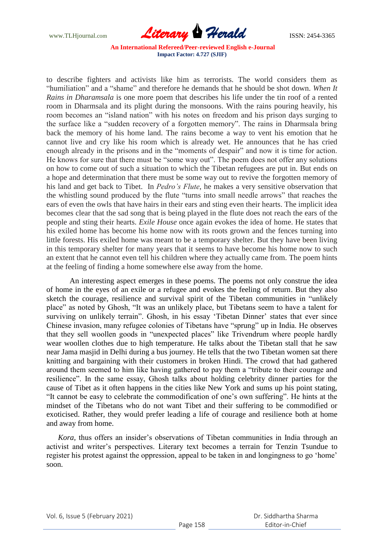

to describe fighters and activists like him as terrorists. The world considers them as "humiliation" and a "shame" and therefore he demands that he should be shot down. *When It Rains in Dharamsala* is one more poem that describes his life under the tin roof of a rented room in Dharmsala and its plight during the monsoons. With the rains pouring heavily, his room becomes an "island nation" with his notes on freedom and his prison days surging to the surface like a "sudden recovery of a forgotten memory". The rains in Dharmsala bring back the memory of his home land. The rains become a way to vent his emotion that he cannot live and cry like his room which is already wet. He announces that he has cried enough already in the prisons and in the "moments of despair" and now it is time for action. He knows for sure that there must be "some way out". The poem does not offer any solutions on how to come out of such a situation to which the Tibetan refugees are put in. But ends on a hope and determination that there must be some way out to revive the forgotten memory of his land and get back to Tibet. In *Pedro's Flute*, he makes a very sensitive observation that the whistling sound produced by the flute "turns into small needle arrows" that reaches the ears of even the owls that have hairs in their ears and sting even their hearts. The implicit idea becomes clear that the sad song that is being played in the flute does not reach the ears of the people and sting their hearts. *Exile House* once again evokes the idea of home. He states that his exiled home has become his home now with its roots grown and the fences turning into little forests. His exiled home was meant to be a temporary shelter. But they have been living in this temporary shelter for many years that it seems to have become his home now to such an extent that he cannot even tell his children where they actually came from. The poem hints at the feeling of finding a home somewhere else away from the home.

An interesting aspect emerges in these poems. The poems not only construe the idea of home in the eyes of an exile or a refugee and evokes the feeling of return. But they also sketch the courage, resilience and survival spirit of the Tibetan communities in "unlikely place" as noted by Ghosh, "It was an unlikely place, but Tibetans seem to have a talent for surviving on unlikely terrain". Ghosh, in his essay 'Tibetan Dinner' states that ever since Chinese invasion, many refugee colonies of Tibetans have "sprung" up in India. He observes that they sell woollen goods in "unexpected places" like Trivendrum where people hardly wear woollen clothes due to high temperature. He talks about the Tibetan stall that he saw near Jama masjid in Delhi during a bus journey. He tells that the two Tibetan women sat there knitting and bargaining with their customers in broken Hindi. The crowd that had gathered around them seemed to him like having gathered to pay them a "tribute to their courage and resilience". In the same essay, Ghosh talks about holding celebrity dinner parties for the cause of Tibet as it often happens in the cities like New York and sums up his point stating, "It cannot be easy to celebrate the commodification of one"s own suffering". He hints at the mindset of the Tibetans who do not want Tibet and their suffering to be commodified or exoticised. Rather, they would prefer leading a life of courage and resilience both at home and away from home.

*Kora*, thus offers an insider's observations of Tibetan communities in India through an activist and writer"s perspectives. Literary text becomes a terrain for Tenzin Tsundue to register his protest against the oppression, appeal to be taken in and longingness to go "home" soon.